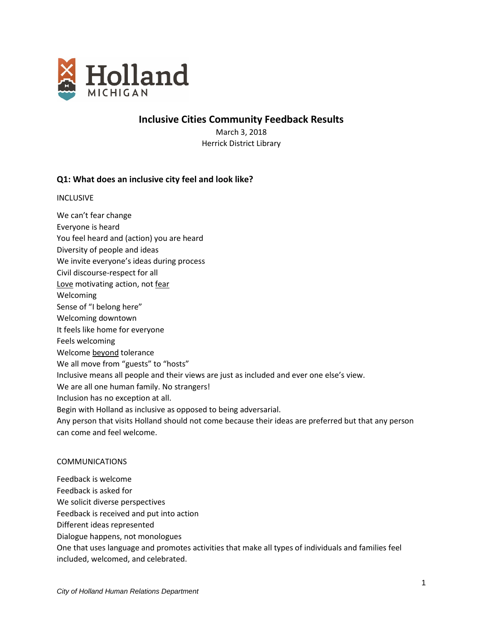

**Inclusive Cities Community Feedback Results**

March 3, 2018 Herrick District Library

# **Q1: What does an inclusive city feel and look like?**

INCLUSIVE

- We can't fear change
- Everyone is heard
- You feel heard and (action) you are heard
- Diversity of people and ideas
- We invite everyone's ideas during process
- Civil discourse-respect for all
- Love motivating action, not fear
- Welcoming
- Sense of "I belong here"
- Welcoming downtown
- It feels like home for everyone
- Feels welcoming
- Welcome beyond tolerance
- We all move from "guests" to "hosts"
- Inclusive means all people and their views are just as included and ever one else's view.
- We are all one human family. No strangers!
- Inclusion has no exception at all.
- Begin with Holland as inclusive as opposed to being adversarial.
- Any person that visits Holland should not come because their ideas are preferred but that any person can come and feel welcome.

# COMMUNICATIONS

Feedback is welcome

- Feedback is asked for
- We solicit diverse perspectives
- Feedback is received and put into action
- Different ideas represented
- Dialogue happens, not monologues
- One that uses language and promotes activities that make all types of individuals and families feel included, welcomed, and celebrated.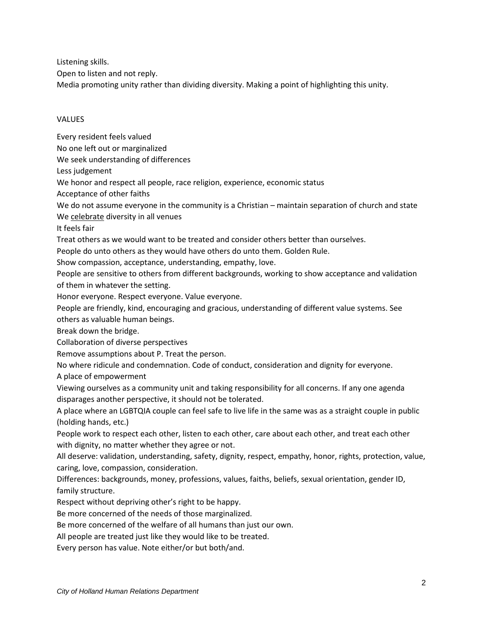Listening skills.

Open to listen and not reply.

Media promoting unity rather than dividing diversity. Making a point of highlighting this unity.

# **VALUES**

Every resident feels valued No one left out or marginalized We seek understanding of differences Less judgement We honor and respect all people, race religion, experience, economic status Acceptance of other faiths We do not assume everyone in the community is a Christian – maintain separation of church and state We celebrate diversity in all venues It feels fair Treat others as we would want to be treated and consider others better than ourselves. People do unto others as they would have others do unto them. Golden Rule. Show compassion, acceptance, understanding, empathy, love. People are sensitive to others from different backgrounds, working to show acceptance and validation of them in whatever the setting. Honor everyone. Respect everyone. Value everyone. People are friendly, kind, encouraging and gracious, understanding of different value systems. See others as valuable human beings. Break down the bridge. Collaboration of diverse perspectives Remove assumptions about P. Treat the person. No where ridicule and condemnation. Code of conduct, consideration and dignity for everyone. A place of empowerment Viewing ourselves as a community unit and taking responsibility for all concerns. If any one agenda disparages another perspective, it should not be tolerated. A place where an LGBTQIA couple can feel safe to live life in the same was as a straight couple in public (holding hands, etc.) People work to respect each other, listen to each other, care about each other, and treat each other with dignity, no matter whether they agree or not. All deserve: validation, understanding, safety, dignity, respect, empathy, honor, rights, protection, value, caring, love, compassion, consideration. Differences: backgrounds, money, professions, values, faiths, beliefs, sexual orientation, gender ID, family structure. Respect without depriving other's right to be happy. Be more concerned of the needs of those marginalized. Be more concerned of the welfare of all humans than just our own. All people are treated just like they would like to be treated.

Every person has value. Note either/or but both/and.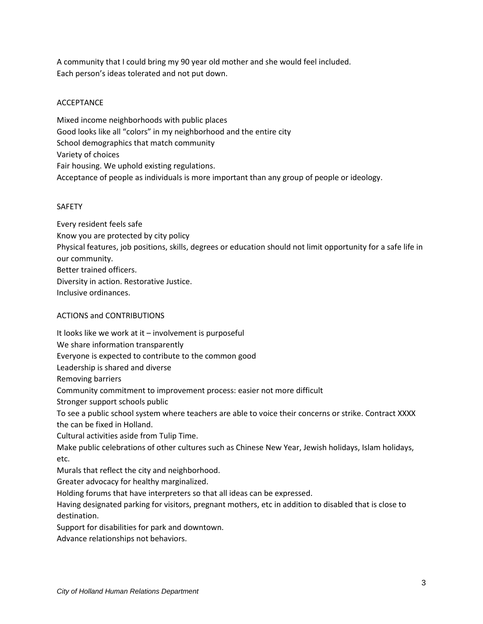A community that I could bring my 90 year old mother and she would feel included. Each person's ideas tolerated and not put down.

# **ACCEPTANCE**

Mixed income neighborhoods with public places Good looks like all "colors" in my neighborhood and the entire city School demographics that match community Variety of choices Fair housing. We uphold existing regulations. Acceptance of people as individuals is more important than any group of people or ideology.

# SAFETY

Every resident feels safe Know you are protected by city policy Physical features, job positions, skills, degrees or education should not limit opportunity for a safe life in our community. Better trained officers. Diversity in action. Restorative Justice. Inclusive ordinances.

# ACTIONS and CONTRIBUTIONS

It looks like we work at it – involvement is purposeful We share information transparently Everyone is expected to contribute to the common good Leadership is shared and diverse Removing barriers Community commitment to improvement process: easier not more difficult Stronger support schools public To see a public school system where teachers are able to voice their concerns or strike. Contract XXXX the can be fixed in Holland. Cultural activities aside from Tulip Time. Make public celebrations of other cultures such as Chinese New Year, Jewish holidays, Islam holidays, etc. Murals that reflect the city and neighborhood. Greater advocacy for healthy marginalized. Holding forums that have interpreters so that all ideas can be expressed. Having designated parking for visitors, pregnant mothers, etc in addition to disabled that is close to destination. Support for disabilities for park and downtown. Advance relationships not behaviors.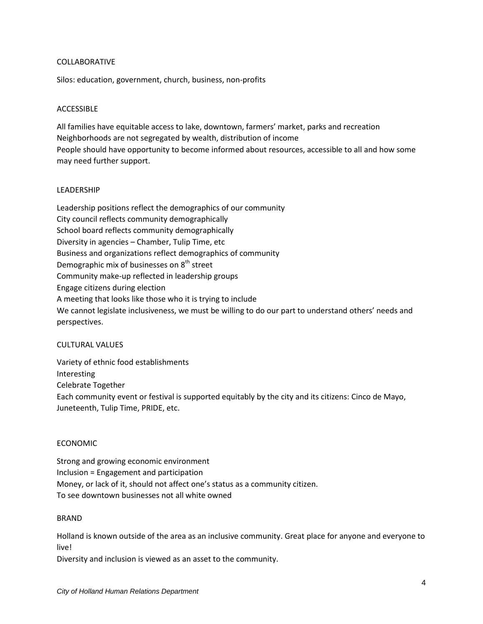### COLLABORATIVE

Silos: education, government, church, business, non-profits

### ACCESSIBLE

All families have equitable access to lake, downtown, farmers' market, parks and recreation Neighborhoods are not segregated by wealth, distribution of income People should have opportunity to become informed about resources, accessible to all and how some may need further support.

### LEADERSHIP

Leadership positions reflect the demographics of our community City council reflects community demographically School board reflects community demographically Diversity in agencies – Chamber, Tulip Time, etc Business and organizations reflect demographics of community Demographic mix of businesses on 8<sup>th</sup> street Community make-up reflected in leadership groups Engage citizens during election A meeting that looks like those who it is trying to include We cannot legislate inclusiveness, we must be willing to do our part to understand others' needs and perspectives.

# CULTURAL VALUES

Variety of ethnic food establishments Interesting Celebrate Together Each community event or festival is supported equitably by the city and its citizens: Cinco de Mayo, Juneteenth, Tulip Time, PRIDE, etc.

#### ECONOMIC

Strong and growing economic environment Inclusion = Engagement and participation Money, or lack of it, should not affect one's status as a community citizen. To see downtown businesses not all white owned

#### **BRAND**

Holland is known outside of the area as an inclusive community. Great place for anyone and everyone to live!

Diversity and inclusion is viewed as an asset to the community.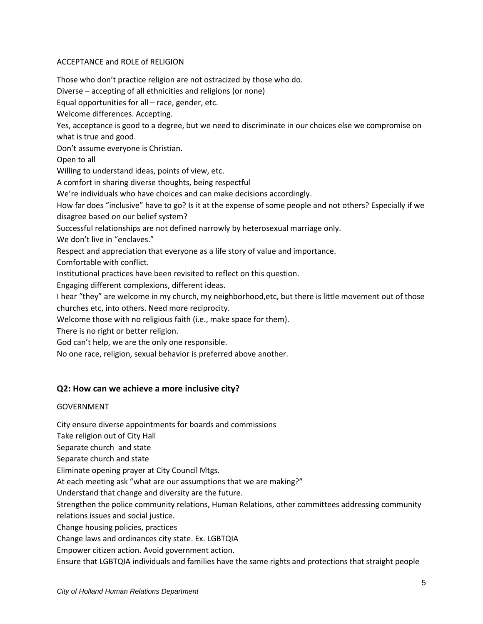# ACCEPTANCE and ROLE of RELIGION

Those who don't practice religion are not ostracized by those who do. Diverse – accepting of all ethnicities and religions (or none) Equal opportunities for all – race, gender, etc. Welcome differences. Accepting. Yes, acceptance is good to a degree, but we need to discriminate in our choices else we compromise on what is true and good. Don't assume everyone is Christian. Open to all Willing to understand ideas, points of view, etc. A comfort in sharing diverse thoughts, being respectful We're individuals who have choices and can make decisions accordingly. How far does "inclusive" have to go? Is it at the expense of some people and not others? Especially if we disagree based on our belief system? Successful relationships are not defined narrowly by heterosexual marriage only. We don't live in "enclaves." Respect and appreciation that everyone as a life story of value and importance. Comfortable with conflict. Institutional practices have been revisited to reflect on this question. Engaging different complexions, different ideas. I hear "they" are welcome in my church, my neighborhood,etc, but there is little movement out of those churches etc, into others. Need more reciprocity. Welcome those with no religious faith (i.e., make space for them). There is no right or better religion. God can't help, we are the only one responsible. No one race, religion, sexual behavior is preferred above another.

# **Q2: How can we achieve a more inclusive city?**

# GOVERNMENT

City ensure diverse appointments for boards and commissions

Take religion out of City Hall

Separate church and state

Separate church and state

Eliminate opening prayer at City Council Mtgs.

At each meeting ask "what are our assumptions that we are making?"

Understand that change and diversity are the future.

Strengthen the police community relations, Human Relations, other committees addressing community relations issues and social justice.

Change housing policies, practices

Change laws and ordinances city state. Ex. LGBTQIA

Empower citizen action. Avoid government action.

Ensure that LGBTQIA individuals and families have the same rights and protections that straight people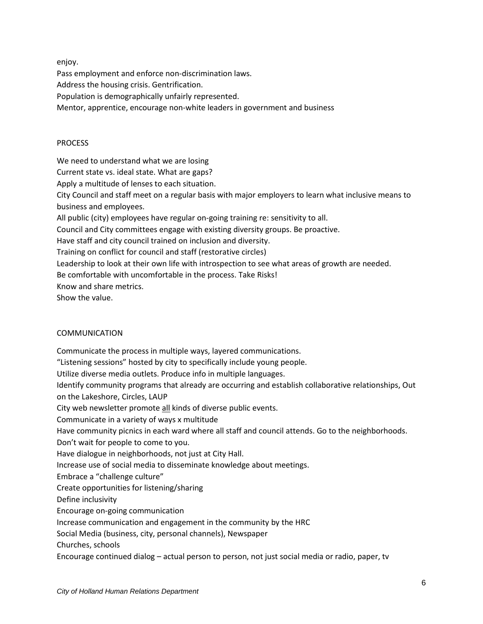enjoy.

Pass employment and enforce non-discrimination laws.

Address the housing crisis. Gentrification.

Population is demographically unfairly represented.

Mentor, apprentice, encourage non-white leaders in government and business

#### **PROCESS**

We need to understand what we are losing

Current state vs. ideal state. What are gaps?

Apply a multitude of lenses to each situation.

City Council and staff meet on a regular basis with major employers to learn what inclusive means to business and employees.

All public (city) employees have regular on-going training re: sensitivity to all.

Council and City committees engage with existing diversity groups. Be proactive.

Have staff and city council trained on inclusion and diversity.

Training on conflict for council and staff (restorative circles)

Leadership to look at their own life with introspection to see what areas of growth are needed.

Be comfortable with uncomfortable in the process. Take Risks!

Know and share metrics.

Show the value.

# COMMUNICATION

Communicate the process in multiple ways, layered communications. "Listening sessions" hosted by city to specifically include young people. Utilize diverse media outlets. Produce info in multiple languages. Identify community programs that already are occurring and establish collaborative relationships, Out on the Lakeshore, Circles, LAUP City web newsletter promote all kinds of diverse public events. Communicate in a variety of ways x multitude Have community picnics in each ward where all staff and council attends. Go to the neighborhoods. Don't wait for people to come to you. Have dialogue in neighborhoods, not just at City Hall. Increase use of social media to disseminate knowledge about meetings. Embrace a "challenge culture" Create opportunities for listening/sharing Define inclusivity Encourage on-going communication Increase communication and engagement in the community by the HRC Social Media (business, city, personal channels), Newspaper Churches, schools Encourage continued dialog – actual person to person, not just social media or radio, paper, tv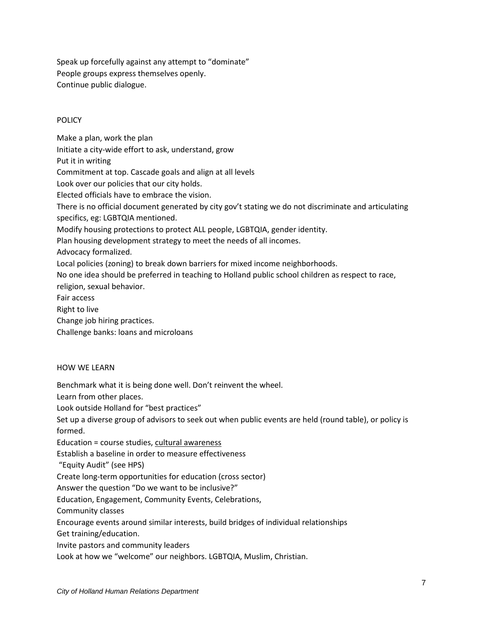Speak up forcefully against any attempt to "dominate" People groups express themselves openly. Continue public dialogue.

# **POLICY**

Make a plan, work the plan Initiate a city-wide effort to ask, understand, grow Put it in writing Commitment at top. Cascade goals and align at all levels Look over our policies that our city holds. Elected officials have to embrace the vision. There is no official document generated by city gov't stating we do not discriminate and articulating specifics, eg: LGBTQIA mentioned. Modify housing protections to protect ALL people, LGBTQIA, gender identity. Plan housing development strategy to meet the needs of all incomes. Advocacy formalized. Local policies (zoning) to break down barriers for mixed income neighborhoods. No one idea should be preferred in teaching to Holland public school children as respect to race, religion, sexual behavior. Fair access Right to live Change job hiring practices.

Challenge banks: loans and microloans

# HOW WE LEARN

Benchmark what it is being done well. Don't reinvent the wheel.

Learn from other places.

Look outside Holland for "best practices"

Set up a diverse group of advisors to seek out when public events are held (round table), or policy is formed.

Education = course studies, cultural awareness

Establish a baseline in order to measure effectiveness

"Equity Audit" (see HPS)

Create long-term opportunities for education (cross sector)

Answer the question "Do we want to be inclusive?"

Education, Engagement, Community Events, Celebrations,

Community classes

Encourage events around similar interests, build bridges of individual relationships

Get training/education.

Invite pastors and community leaders

Look at how we "welcome" our neighbors. LGBTQIA, Muslim, Christian.